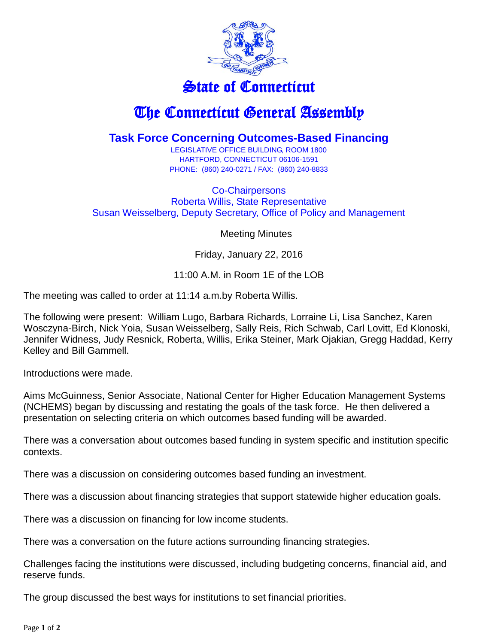

## State of Connecticut

## The Connecticut General Assembly

## **Task Force Concerning Outcomes-Based Financing**

LEGISLATIVE OFFICE BUILDING, ROOM 1800 HARTFORD, CONNECTICUT 06106-1591 PHONE: (860) 240-0271 / FAX: (860) 240-8833

Co-Chairpersons Roberta Willis, State Representative Susan Weisselberg, Deputy Secretary, Office of Policy and Management

Meeting Minutes

Friday, January 22, 2016

11:00 A.M. in Room 1E of the LOB

The meeting was called to order at 11:14 a.m.by Roberta Willis.

The following were present: William Lugo, Barbara Richards, Lorraine Li, Lisa Sanchez, Karen Wosczyna-Birch, Nick Yoia, Susan Weisselberg, Sally Reis, Rich Schwab, Carl Lovitt, Ed Klonoski, Jennifer Widness, Judy Resnick, Roberta, Willis, Erika Steiner, Mark Ojakian, Gregg Haddad, Kerry Kelley and Bill Gammell.

Introductions were made.

Aims McGuinness, Senior Associate, National Center for Higher Education Management Systems (NCHEMS) began by discussing and restating the goals of the task force. He then delivered a presentation on selecting criteria on which outcomes based funding will be awarded.

There was a conversation about outcomes based funding in system specific and institution specific contexts.

There was a discussion on considering outcomes based funding an investment.

There was a discussion about financing strategies that support statewide higher education goals.

There was a discussion on financing for low income students.

There was a conversation on the future actions surrounding financing strategies.

Challenges facing the institutions were discussed, including budgeting concerns, financial aid, and reserve funds.

The group discussed the best ways for institutions to set financial priorities.